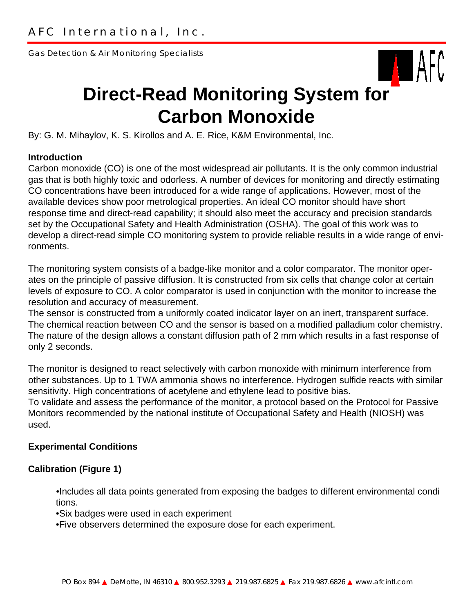Gas Detection & Air Monitoring Specialists



# **Direct-Read Monitoring System for Carbon Monoxide**

By: G. M. Mihaylov, K. S. Kirollos and A. E. Rice, K&M Environmental, Inc.

#### **Introduction**

Carbon monoxide (CO) is one of the most widespread air pollutants. It is the only common industrial gas that is both highly toxic and odorless. A number of devices for monitoring and directly estimating CO concentrations have been introduced for a wide range of applications. However, most of the available devices show poor metrological properties. An ideal CO monitor should have short response time and direct-read capability; it should also meet the accuracy and precision standards set by the Occupational Safety and Health Administration (OSHA). The goal of this work was to develop a direct-read simple CO monitoring system to provide reliable results in a wide range of environments.

The monitoring system consists of a badge-like monitor and a color comparator. The monitor operates on the principle of passive diffusion. It is constructed from six cells that change color at certain levels of exposure to CO. A color comparator is used in conjunction with the monitor to increase the resolution and accuracy of measurement.

The sensor is constructed from a uniformly coated indicator layer on an inert, transparent surface. The chemical reaction between CO and the sensor is based on a modified palladium color chemistry. The nature of the design allows a constant diffusion path of 2 mm which results in a fast response of only 2 seconds.

The monitor is designed to react selectively with carbon monoxide with minimum interference from other substances. Up to 1 TWA ammonia shows no interference. Hydrogen sulfide reacts with similar sensitivity. High concentrations of acetylene and ethylene lead to positive bias.

To validate and assess the performance of the monitor, a protocol based on the Protocol for Passive Monitors recommended by the national institute of Occupational Safety and Health (NIOSH) was used.

### **Experimental Conditions**

### **Calibration (Figure 1)**

•Includes all data points generated from exposing the badges to different environmental condi tions.

•Six badges were used in each experiment

•Five observers determined the exposure dose for each experiment.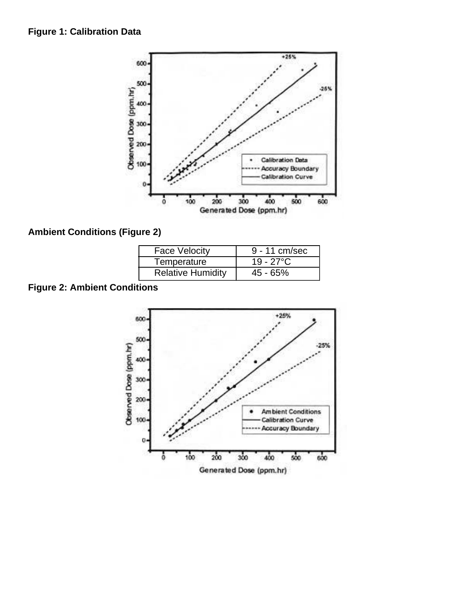### **Figure 1: Calibration Data**



## **Ambient Conditions (Figure 2)**

| <b>Face Velocity</b>     | 9 - 11 cm/sec      |
|--------------------------|--------------------|
| Temperature              | $19 - 27^{\circ}C$ |
| <b>Relative Humidity</b> | 45 - 65%           |

# **Figure 2: Ambient Conditions**

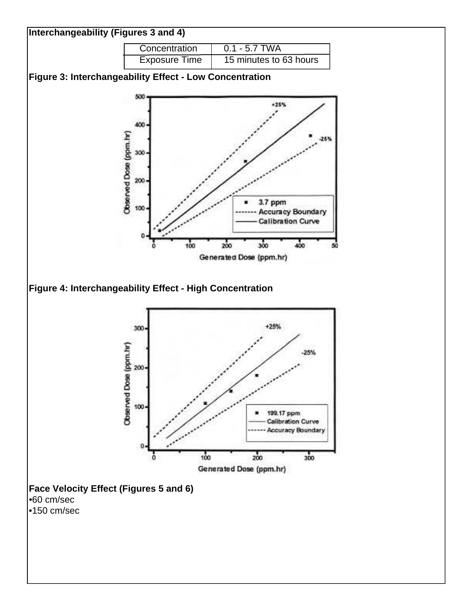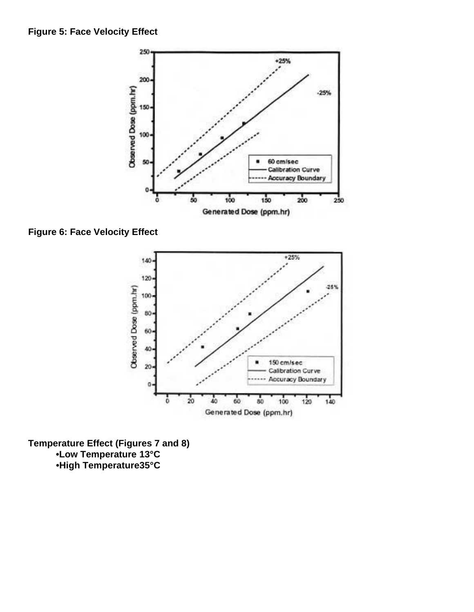

**Figure 6: Face Velocity Effect**



**Temperature Effect (Figures 7 and 8) •Low Temperature 13°C •High Temperature35°C**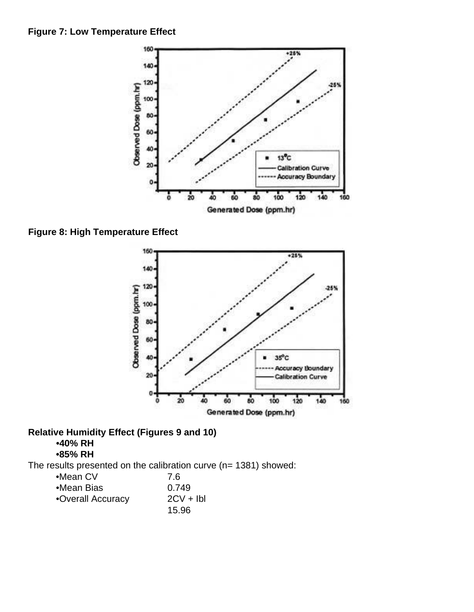

**Figure 8: High Temperature Effect**



### **Relative Humidity Effect (Figures 9 and 10)**

## **•40% RH**

**•85% RH**

The results presented on the calibration curve (n= 1381) showed:

| $\bullet$ Mean CV | 7.6        |
|-------------------|------------|
| •Mean Bias        | 0.749      |
| •Overall Accuracy | $2CV + Ib$ |
|                   | 15.96      |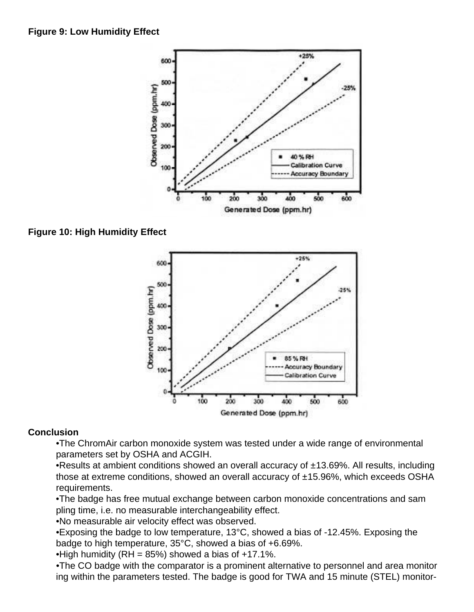

**Figure 10: High Humidity Effect**



### **Conclusion**

•The ChromAir carbon monoxide system was tested under a wide range of environmental parameters set by OSHA and ACGIH.

•Results at ambient conditions showed an overall accuracy of  $\pm$ 13.69%. All results, including those at extreme conditions, showed an overall accuracy of ±15.96%, which exceeds OSHA requirements.

•The badge has free mutual exchange between carbon monoxide concentrations and sam pling time, i.e. no measurable interchangeability effect.

•No measurable air velocity effect was observed.

•Exposing the badge to low temperature, 13°C, showed a bias of -12.45%. Exposing the badge to high temperature, 35°C, showed a bias of +6.69%.

•High humidity (RH =  $85\%$ ) showed a bias of  $+17.1\%$ .

•The CO badge with the comparator is a prominent alternative to personnel and area monitor ing within the parameters tested. The badge is good for TWA and 15 minute (STEL) monitor